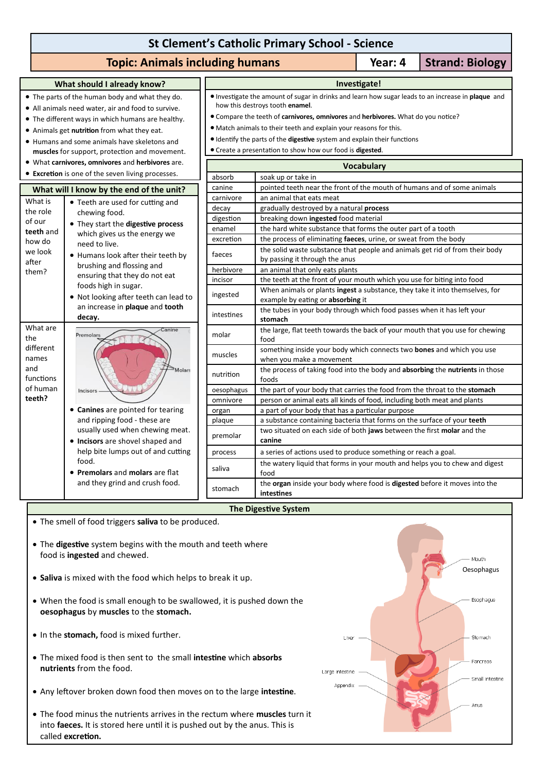# **St Clement's Catholic Primary School - Science**

## **Topic: Animals including humans Topic: 4 | Strand: Biology**

### **What should I already know?** The parts of the human body and what they do. All animals need water, air and food to survive.

- The different ways in which humans are healthy.
- Animals get **nutrition** from what they eat.
- Humans and some animals have skeletons and **muscles** for support, protection and movement.
- What **carnivores, omnivores** and **herbivores** are.
- **Excretion** is one of the seven living processes.

| What will I know by the end of the unit?                                          |                                                                                                                                                                                                                                                                                                                                                                  |  |  |  |  |
|-----------------------------------------------------------------------------------|------------------------------------------------------------------------------------------------------------------------------------------------------------------------------------------------------------------------------------------------------------------------------------------------------------------------------------------------------------------|--|--|--|--|
| What is<br>the role<br>of our<br>teeth and<br>how do<br>we look<br>after<br>them? | Teeth are used for cutting and<br>chewing food.<br>They start the digestive process<br>which gives us the energy we<br>need to live.<br>Humans look after their teeth by<br>brushing and flossing and<br>ensuring that they do not eat<br>foods high in sugar.<br>Not looking after teeth can lead to<br>an increase in <b>plaque</b> and <b>tooth</b><br>decay. |  |  |  |  |
| What are<br>the<br>different<br>names<br>and<br>functions<br>of human<br>teeth?   | Canine<br><b>Premolars</b><br>Molars<br>Incisors<br>Canines are pointed for tearing<br>and ripping food - these are<br>usually used when chewing meat.<br><b>Incisors</b> are shovel shaped and<br>help bite lumps out of and cutting<br>food.<br><b>Premolars and molars are flat</b><br>and they grind and crush food.                                         |  |  |  |  |

- **Investigate!** Investigate the amount of sugar in drinks and learn how sugar leads to an increase in **plaque** and how this destroys tooth **enamel**.
- Compare the teeth of **carnivores, omnivores** and **herbivores.** What do you notice?
- Match animals to their teeth and explain your reasons for this.
- Identify the parts of the **digestive** system and explain their functions
- Create a presentation to show how our food is **digested**.

| <b>Vocabulary</b> |                                                                                          |  |  |  |
|-------------------|------------------------------------------------------------------------------------------|--|--|--|
| absorb            | soak up or take in                                                                       |  |  |  |
| canine            | pointed teeth near the front of the mouth of humans and of some animals                  |  |  |  |
| carnivore         | an animal that eats meat                                                                 |  |  |  |
| decay             | gradually destroyed by a natural process                                                 |  |  |  |
| digestion         | breaking down ingested food material                                                     |  |  |  |
| enamel            | the hard white substance that forms the outer part of a tooth                            |  |  |  |
| excretion         | the process of eliminating faeces, urine, or sweat from the body                         |  |  |  |
| faeces            | the solid waste substance that people and animals get rid of from their body             |  |  |  |
|                   | by passing it through the anus                                                           |  |  |  |
| herbivore         | an animal that only eats plants                                                          |  |  |  |
| incisor           | the teeth at the front of your mouth which you use for biting into food                  |  |  |  |
| ingested          | When animals or plants ingest a substance, they take it into themselves, for             |  |  |  |
|                   | example by eating or absorbing it                                                        |  |  |  |
| intestines        | the tubes in your body through which food passes when it has left your                   |  |  |  |
|                   | stomach                                                                                  |  |  |  |
| molar             | the large, flat teeth towards the back of your mouth that you use for chewing<br>food    |  |  |  |
| muscles           | something inside your body which connects two bones and which you use                    |  |  |  |
|                   | when you make a movement                                                                 |  |  |  |
| nutrition         | the process of taking food into the body and absorbing the nutrients in those            |  |  |  |
|                   | foods                                                                                    |  |  |  |
| oesophagus        | the part of your body that carries the food from the throat to the stomach               |  |  |  |
| omnivore          | person or animal eats all kinds of food, including both meat and plants                  |  |  |  |
| organ             | a part of your body that has a particular purpose                                        |  |  |  |
| plaque            | a substance containing bacteria that forms on the surface of your teeth                  |  |  |  |
| premolar          | two situated on each side of both jaws between the first molar and the<br>canine         |  |  |  |
| process           | a series of actions used to produce something or reach a goal.                           |  |  |  |
| saliva            | the watery liquid that forms in your mouth and helps you to chew and digest<br>food      |  |  |  |
| stomach           | the organ inside your body where food is digested before it moves into the<br>intestines |  |  |  |

## **The Digestive System**

The smell of food triggers **saliva** to be produced.

- The **digestive** system begins with the mouth and teeth where food is **ingested** and chewed.
- **Saliva** is mixed with the food which helps to break it up.
- When the food is small enough to be swallowed, it is pushed down the **oesophagus** by **muscles** to the **stomach.**
- $\bullet$  In the stomach, food is mixed further.
- The mixed food is then sent to the small **intestine** which **absorbs nutrients** from the food.
- Any leftover broken down food then moves on to the large **intestine**.
- The food minus the nutrients arrives in the rectum where **muscles** turn it into **faeces.** It is stored here until it is pushed out by the anus. This is called **excretion.**

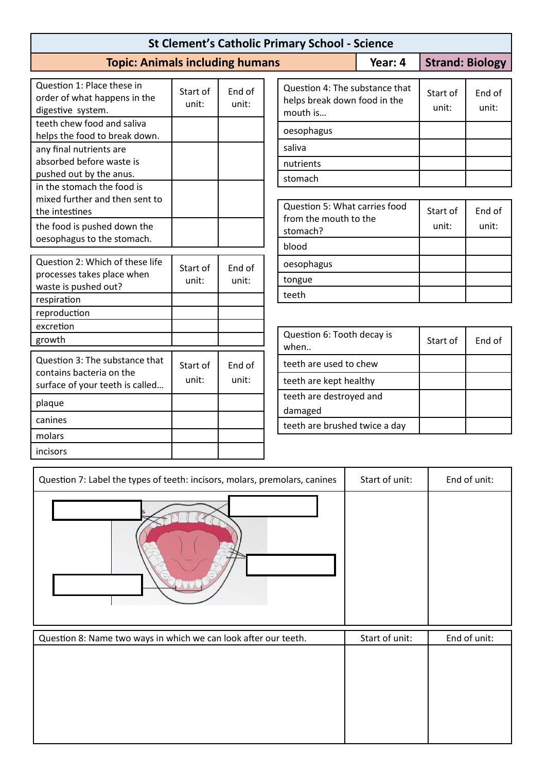| <b>St Clement's Catholic Primary School - Science</b>                           |                   |                 |                                                                            |         |                        |                 |  |  |
|---------------------------------------------------------------------------------|-------------------|-----------------|----------------------------------------------------------------------------|---------|------------------------|-----------------|--|--|
| <b>Topic: Animals including humans</b>                                          |                   |                 |                                                                            | Year: 4 | <b>Strand: Biology</b> |                 |  |  |
| Question 1: Place these in<br>order of what happens in the<br>digestive system. | Start of<br>unit: | End of<br>unit: | Question 4: The substance that<br>helps break down food in the<br>mouth is |         | Start of<br>unit:      | End of<br>unit: |  |  |
| teeth chew food and saliva<br>helps the food to break down.                     |                   |                 | oesophagus                                                                 |         |                        |                 |  |  |
| any final nutrients are<br>absorbed before waste is                             |                   |                 | saliva                                                                     |         |                        |                 |  |  |
| pushed out by the anus.                                                         |                   |                 | nutrients<br>stomach                                                       |         |                        |                 |  |  |
| in the stomach the food is<br>mixed further and then sent to<br>the intestines  |                   |                 | Question 5: What carries food                                              |         | Start of               | End of          |  |  |
| the food is pushed down the<br>oesophagus to the stomach.                       |                   |                 | from the mouth to the<br>stomach?                                          |         | unit:                  | unit:           |  |  |
|                                                                                 |                   |                 | blood                                                                      |         |                        |                 |  |  |
| Question 2: Which of these life<br>processes takes place when                   | Start of          | End of          | oesophagus                                                                 |         |                        |                 |  |  |
| waste is pushed out?                                                            | unit:<br>unit:    |                 | tongue<br>teeth                                                            |         |                        |                 |  |  |
| respiration                                                                     |                   |                 |                                                                            |         |                        |                 |  |  |
| reproduction<br>excretion                                                       |                   |                 |                                                                            |         |                        |                 |  |  |
| growth                                                                          |                   |                 | Question 6: Tooth decay is<br>when                                         |         | Start of               | End of          |  |  |
| Question 3: The substance that                                                  | Start of          | End of          | teeth are used to chew                                                     |         |                        |                 |  |  |
| contains bacteria on the<br>surface of your teeth is called                     | unit:             | unit:           | teeth are kept healthy                                                     |         |                        |                 |  |  |
| plaque                                                                          |                   |                 | teeth are destroyed and                                                    |         |                        |                 |  |  |
| canines                                                                         |                   |                 | damaged<br>teeth are brushed twice a day                                   |         |                        |                 |  |  |
| molars                                                                          |                   |                 |                                                                            |         |                        |                 |  |  |
| incisors                                                                        |                   |                 |                                                                            |         |                        |                 |  |  |

| Question 7: Label the types of teeth: incisors, molars, premolars, canines | Start of unit: | End of unit: |
|----------------------------------------------------------------------------|----------------|--------------|
|                                                                            |                |              |
| Question 8: Name two ways in which we can look after our teeth.            | Start of unit: | End of unit: |
|                                                                            |                |              |